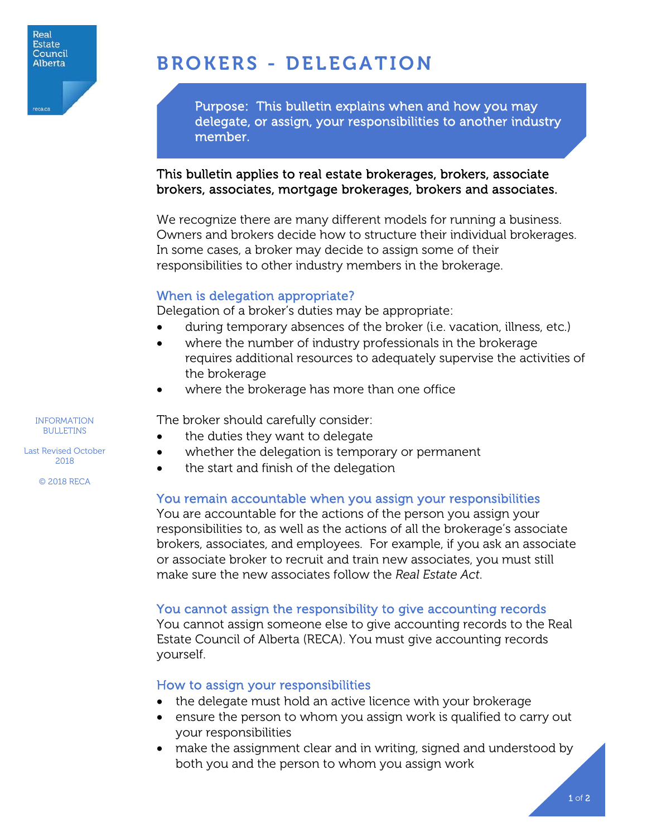

# BROKERS - DELEGATION

Purpose: This bulletin explains when and how you may delegate, or assign, your responsibilities to another industry member.

### This bulletin applies to real estate brokerages, brokers, associate brokers, associates, mortgage brokerages, brokers and associates.

We recognize there are many different models for running a business. Owners and brokers decide how to structure their individual brokerages. In some cases, a broker may decide to assign some of their responsibilities to other industry members in the brokerage.

## When is delegation appropriate?

Delegation of a broker's duties may be appropriate:

- during temporary absences of the broker (i.e. vacation, illness, etc.)
- where the number of industry professionals in the brokerage requires additional resources to adequately supervise the activities of the brokerage
- where the brokerage has more than one office

The broker should carefully consider:

- the duties they want to delegate
- whether the delegation is temporary or permanent
- the start and finish of the delegation

## You remain accountable when you assign your responsibilities

You are accountable for the actions of the person you assign your responsibilities to, as well as the actions of all the brokerage's associate brokers, associates, and employees. For example, if you ask an associate or associate broker to recruit and train new associates, you must still make sure the new associates follow the *Real Estate Act*.

#### You cannot assign the responsibility to give accounting records

You cannot assign someone else to give accounting records to the Real Estate Council of Alberta (RECA). You must give accounting records yourself.

#### How to assign your responsibilities

- the delegate must hold an active licence with your brokerage
- ensure the person to whom you assign work is qualified to carry out your responsibilities
- make the assignment clear and in writing, signed and understood by both you and the person to whom you assign work

INFORMATION BULLETINS

Last Revised October 2018

© 2018 RECA